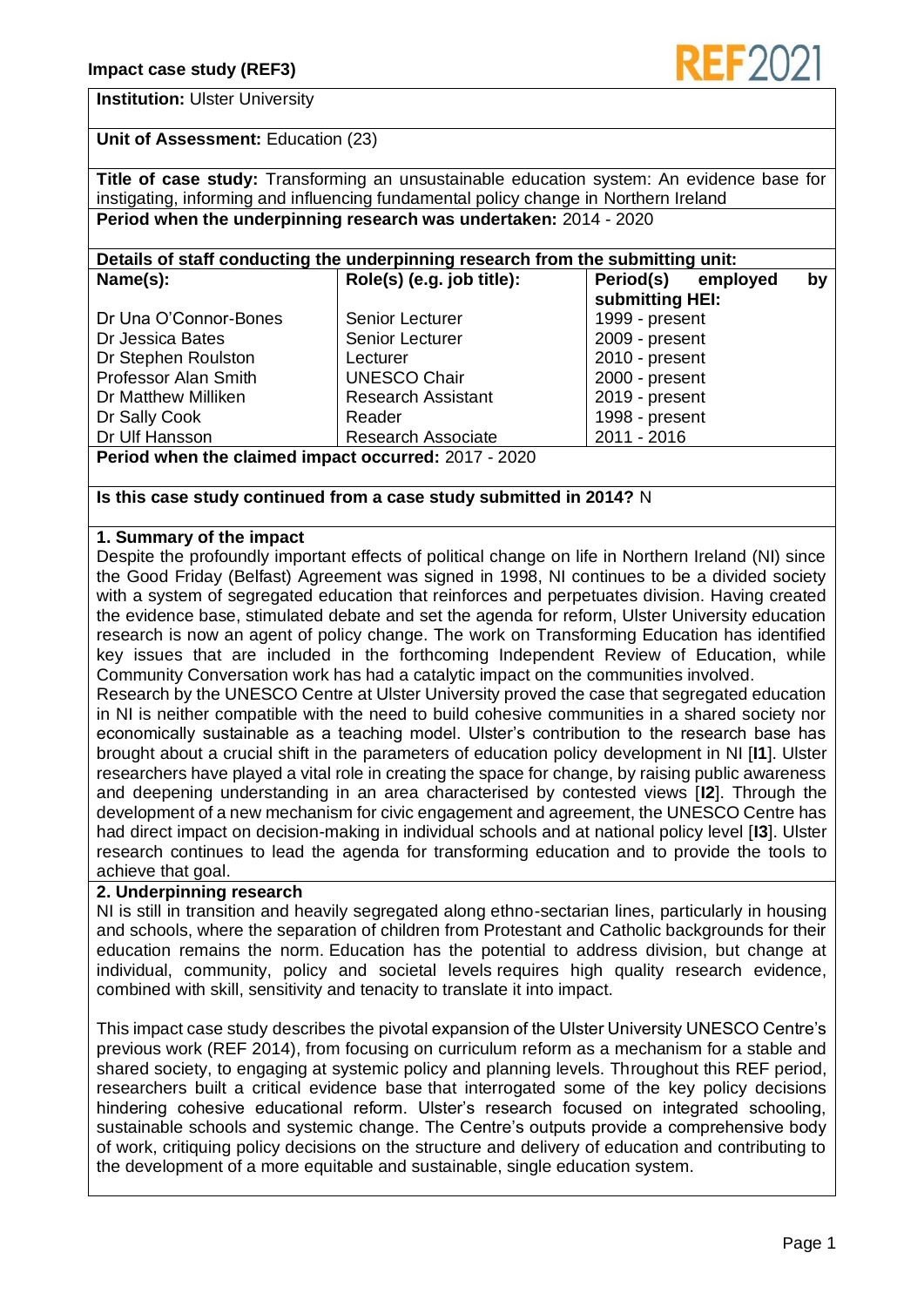

# **Institution:** Ulster University

**Unit of Assessment:** Education (23)

**Title of case study:** Transforming an unsustainable education system: An evidence base for instigating, informing and influencing fundamental policy change in Northern Ireland **Period when the underpinning research was undertaken:** 2014 - 2020

#### **Details of staff conducting the underpinning research from the submitting unit: Name(s): Role(s) (e.g. job title): Period(s) employed by**

|                                                             |                           | submitting HEI:  |
|-------------------------------------------------------------|---------------------------|------------------|
| Dr Una O'Connor-Bones                                       | <b>Senior Lecturer</b>    | 1999 - present   |
| Dr Jessica Bates                                            | Senior Lecturer           | 2009 - present   |
| Dr Stephen Roulston                                         | Lecturer                  | $2010 - present$ |
| <b>Professor Alan Smith</b>                                 | <b>UNESCO Chair</b>       | 2000 - present   |
| Dr Matthew Milliken                                         | <b>Research Assistant</b> | 2019 - present   |
| Dr Sally Cook                                               | Reader                    | 1998 - present   |
| Dr Ulf Hansson                                              | <b>Research Associate</b> | 2011 - 2016      |
| <b>Pariod when the claimed impact occurred: 2017 - 2020</b> |                           |                  |

**Period when the claimed impact occurred:** 2017 - 2020

# **Is this case study continued from a case study submitted in 2014?** N

# **1. Summary of the impact**

Despite the profoundly important effects of political change on life in Northern Ireland (NI) since the Good Friday (Belfast) Agreement was signed in 1998, NI continues to be a divided society with a system of segregated education that reinforces and perpetuates division. Having created the evidence base, stimulated debate and set the agenda for reform, Ulster University education research is now an agent of policy change. The work on Transforming Education has identified key issues that are included in the forthcoming Independent Review of Education, while Community Conversation work has had a catalytic impact on the communities involved.

Research by the UNESCO Centre at Ulster University proved the case that segregated education in NI is neither compatible with the need to build cohesive communities in a shared society nor economically sustainable as a teaching model. Ulster's contribution to the research base has brought about a crucial shift in the parameters of education policy development in NI [**I1**]. Ulster researchers have played a vital role in creating the space for change, by raising public awareness and deepening understanding in an area characterised by contested views [**I2**]. Through the development of a new mechanism for civic engagement and agreement, the UNESCO Centre has had direct impact on decision-making in individual schools and at national policy level [**I3**]. Ulster research continues to lead the agenda for transforming education and to provide the tools to achieve that goal.

# **2. Underpinning research**

NI is still in transition and heavily segregated along ethno-sectarian lines, particularly in housing and schools, where the separation of children from Protestant and Catholic backgrounds for their education remains the norm. Education has the potential to address division, but change at individual, community, policy and societal levels requires high quality research evidence, combined with skill, sensitivity and tenacity to translate it into impact.

This impact case study describes the pivotal expansion of the Ulster University UNESCO Centre's previous work (REF 2014), from focusing on curriculum reform as a mechanism for a stable and shared society, to engaging at systemic policy and planning levels. Throughout this REF period, researchers built a critical evidence base that interrogated some of the key policy decisions hindering cohesive educational reform. Ulster's research focused on integrated schooling, sustainable schools and systemic change. The Centre's outputs provide a comprehensive body of work, critiquing policy decisions on the structure and delivery of education and contributing to the development of a more equitable and sustainable, single education system.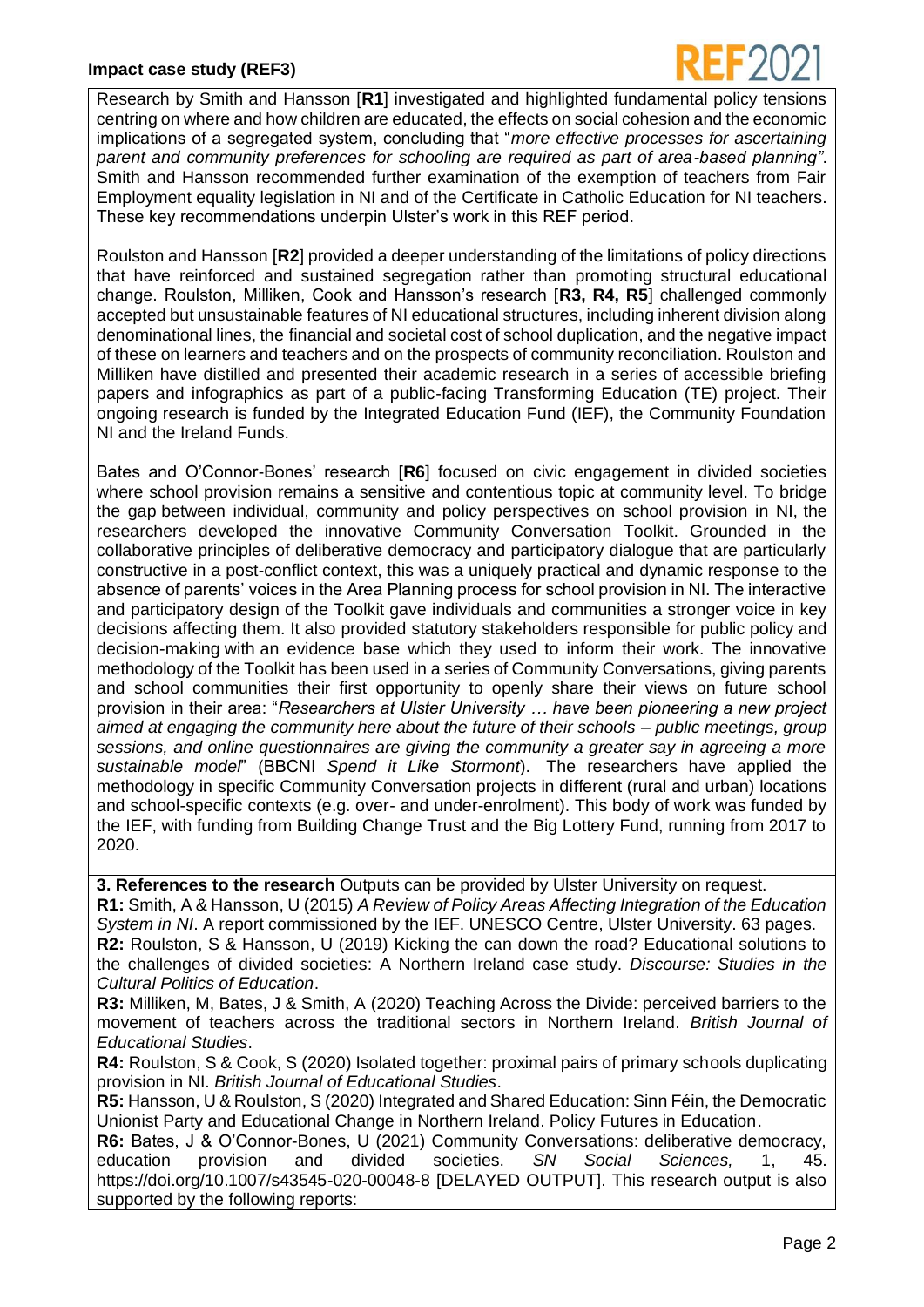

Research by Smith and Hansson [**R1**] investigated and highlighted fundamental policy tensions centring on where and how children are educated, the effects on social cohesion and the economic implications of a segregated system, concluding that "*more effective processes for ascertaining parent and community preferences for schooling are required as part of area-based planning"*. Smith and Hansson recommended further examination of the exemption of teachers from Fair Employment equality legislation in NI and of the Certificate in Catholic Education for NI teachers. These key recommendations underpin Ulster's work in this REF period.

Roulston and Hansson [**R2**] provided a deeper understanding of the limitations of policy directions that have reinforced and sustained segregation rather than promoting structural educational change. Roulston, Milliken, Cook and Hansson's research [**R3, R4, R5**] challenged commonly accepted but unsustainable features of NI educational structures, including inherent division along denominational lines, the financial and societal cost of school duplication, and the negative impact of these on learners and teachers and on the prospects of community reconciliation. Roulston and Milliken have distilled and presented their academic research in a series of accessible briefing papers and infographics as part of a public-facing Transforming Education (TE) project. Their ongoing research is funded by the Integrated Education Fund (IEF), the Community Foundation NI and the Ireland Funds.

Bates and O'Connor-Bones' research [**R6**] focused on civic engagement in divided societies where school provision remains a sensitive and contentious topic at community level. To bridge the gap between individual, community and policy perspectives on school provision in NI, the researchers developed the innovative Community Conversation Toolkit. Grounded in the collaborative principles of deliberative democracy and participatory dialogue that are particularly constructive in a post-conflict context, this was a uniquely practical and dynamic response to the absence of parents' voices in the Area Planning process for school provision in NI. The interactive and participatory design of the Toolkit gave individuals and communities a stronger voice in key decisions affecting them. It also provided statutory stakeholders responsible for public policy and decision-making with an evidence base which they used to inform their work. The innovative methodology of the Toolkit has been used in a series of Community Conversations, giving parents and school communities their first opportunity to openly share their views on future school provision in their area: "*Researchers at Ulster University … have been pioneering a new project aimed at engaging the community here about the future of their schools – public meetings, group sessions, and online questionnaires are giving the community a greater say in agreeing a more sustainable model*" (BBCNI *Spend it Like Stormont*). The researchers have applied the methodology in specific Community Conversation projects in different (rural and urban) locations and school-specific contexts (e.g. over- and under-enrolment). This body of work was funded by the IEF, with funding from Building Change Trust and the Big Lottery Fund, running from 2017 to 2020.

**3. References to the research** Outputs can be provided by Ulster University on request.

**R1:** Smith, A & Hansson, U (2015) *A Review of Policy Areas Affecting Integration of the Education System in NI*. A report commissioned by the IEF. UNESCO Centre, Ulster University. 63 pages. **R2:** Roulston, S & Hansson, U (2019) Kicking the can down the road? Educational solutions to the challenges of divided societies: A Northern Ireland case study. *Discourse: Studies in the Cultural Politics of Education*.

**R3:** Milliken, M, Bates, J & Smith, A (2020) Teaching Across the Divide: perceived barriers to the movement of teachers across the traditional sectors in Northern Ireland. *British Journal of Educational Studies*.

**R4:** Roulston, S & Cook, S (2020) Isolated together: proximal pairs of primary schools duplicating provision in NI. *British Journal of Educational Studies*.

**R5:** Hansson, U & Roulston, S (2020) Integrated and Shared Education: Sinn Féin, the Democratic Unionist Party and Educational Change in Northern Ireland. Policy Futures in Education.

**R6:** Bates, J & O'Connor-Bones, U (2021) Community Conversations: deliberative democracy, education provision and divided societies. *SN Social Sciences,* 1, 45. https://doi.org/10.1007/s43545-020-00048-8 [DELAYED OUTPUT]. This research output is also supported by the following reports: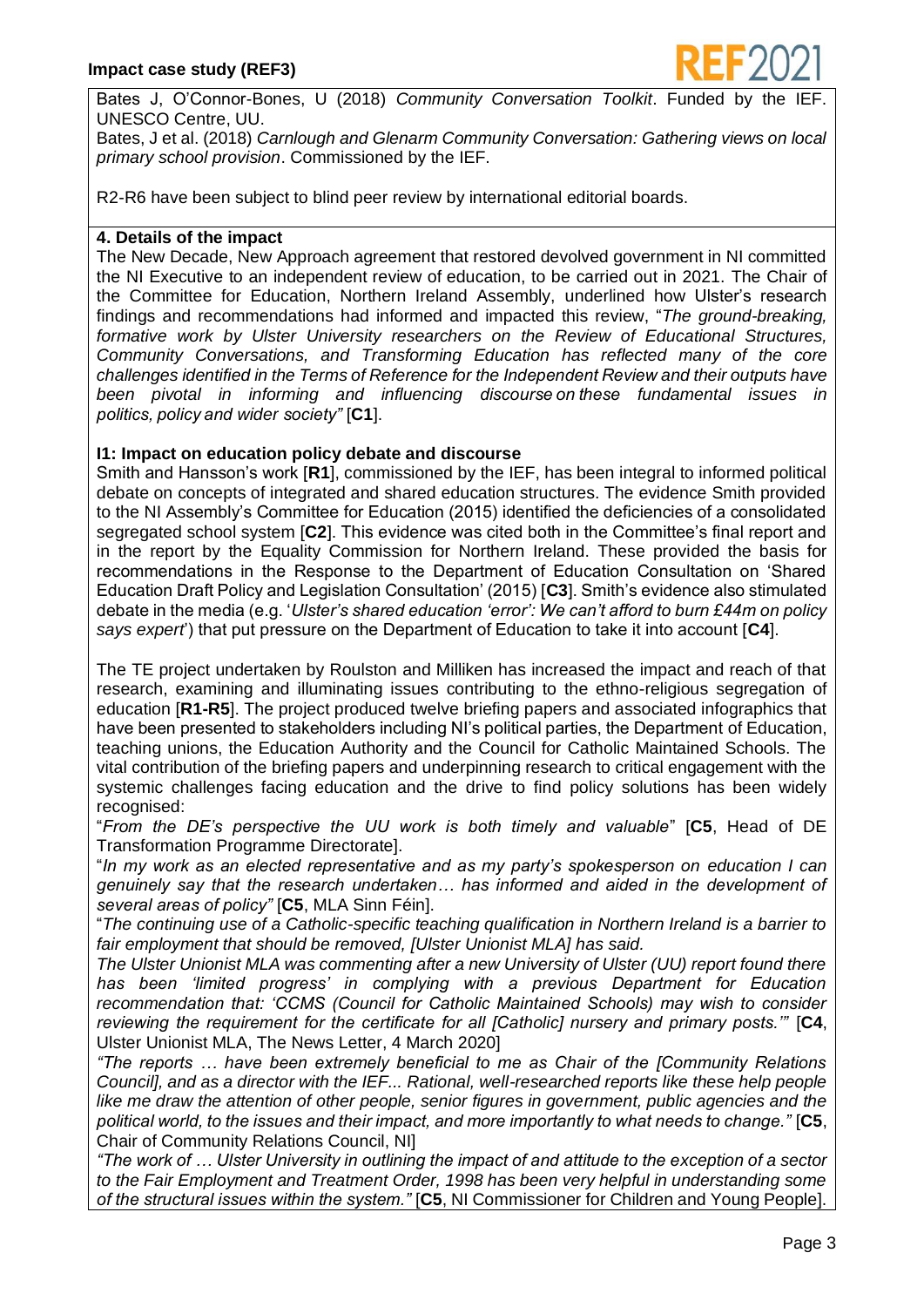

Bates J, O'Connor-Bones, U (2018) *Community Conversation Toolkit*. Funded by the UNESCO Centre, UU.

Bates, J et al. (2018) *Carnlough and Glenarm Community Conversation: Gathering views on local primary school provision*. Commissioned by the IEF.

R2-R6 have been subject to blind peer review by international editorial boards.

## **4. Details of the impact**

The New Decade, New Approach agreement that restored devolved government in NI committed the NI Executive to an independent review of education, to be carried out in 2021. The Chair of the Committee for Education, Northern Ireland Assembly, underlined how Ulster's research findings and recommendations had informed and impacted this review, "*The ground-breaking, formative work by Ulster University researchers on the Review of Educational Structures, Community Conversations, and Transforming Education has reflected many of the core challenges identified in the Terms of Reference for the Independent Review and their outputs have been pivotal in informing and influencing discourse on these fundamental issues in politics, policy and wider society"* [**C1**].

# **I1: Impact on education policy debate and discourse**

Smith and Hansson's work [**R1**], commissioned by the IEF, has been integral to informed political debate on concepts of integrated and shared education structures. The evidence Smith provided to the NI Assembly's Committee for Education (2015) identified the deficiencies of a consolidated segregated school system [**C2**]. This evidence was cited both in the Committee's final report and in the report by the Equality Commission for Northern Ireland. These provided the basis for recommendations in the Response to the Department of Education Consultation on 'Shared Education Draft Policy and Legislation Consultation' (2015) [**C3**]. Smith's evidence also stimulated debate in the media (e.g. '*Ulster's shared education 'error': We can't afford to burn £44m on policy says expert*') that put pressure on the Department of Education to take it into account [**C4**].

The TE project undertaken by Roulston and Milliken has increased the impact and reach of that research, examining and illuminating issues contributing to the ethno-religious segregation of education [**R1-R5**]. The project produced twelve briefing papers and associated infographics that have been presented to stakeholders including NI's political parties, the Department of Education, teaching unions, the Education Authority and the Council for Catholic Maintained Schools. The vital contribution of the briefing papers and underpinning research to critical engagement with the systemic challenges facing education and the drive to find policy solutions has been widely recognised:

"*From the DE's perspective the UU work is both timely and valuable*" [**C5**, Head of DE Transformation Programme Directorate].

"*In my work as an elected representative and as my party's spokesperson on education I can genuinely say that the research undertaken… has informed and aided in the development of several areas of policy"* [**C5**, MLA Sinn Féin].

"*The continuing use of a Catholic-specific teaching qualification in Northern Ireland is a barrier to fair employment that should be removed, [Ulster Unionist MLA] has said.*

*The Ulster Unionist MLA was commenting after a new University of Ulster (UU) report found there has been 'limited progress' in complying with a previous Department for Education recommendation that: 'CCMS (Council for Catholic Maintained Schools) may wish to consider reviewing the requirement for the certificate for all [Catholic] nursery and primary posts.'"* [**C4**, Ulster Unionist MLA, The News Letter, 4 March 2020]

*"The reports … have been extremely beneficial to me as Chair of the [Community Relations Council], and as a director with the IEF... Rational, well-researched reports like these help people*  like me draw the attention of other people, senior figures in government, public agencies and the *political world, to the issues and their impact, and more importantly to what needs to change."* [**C5**, Chair of Community Relations Council, NI]

*"The work of … Ulster University in outlining the impact of and attitude to the exception of a sector to the Fair Employment and Treatment Order, 1998 has been very helpful in understanding some of the structural issues within the system."* [**C5**, NI Commissioner for Children and Young People].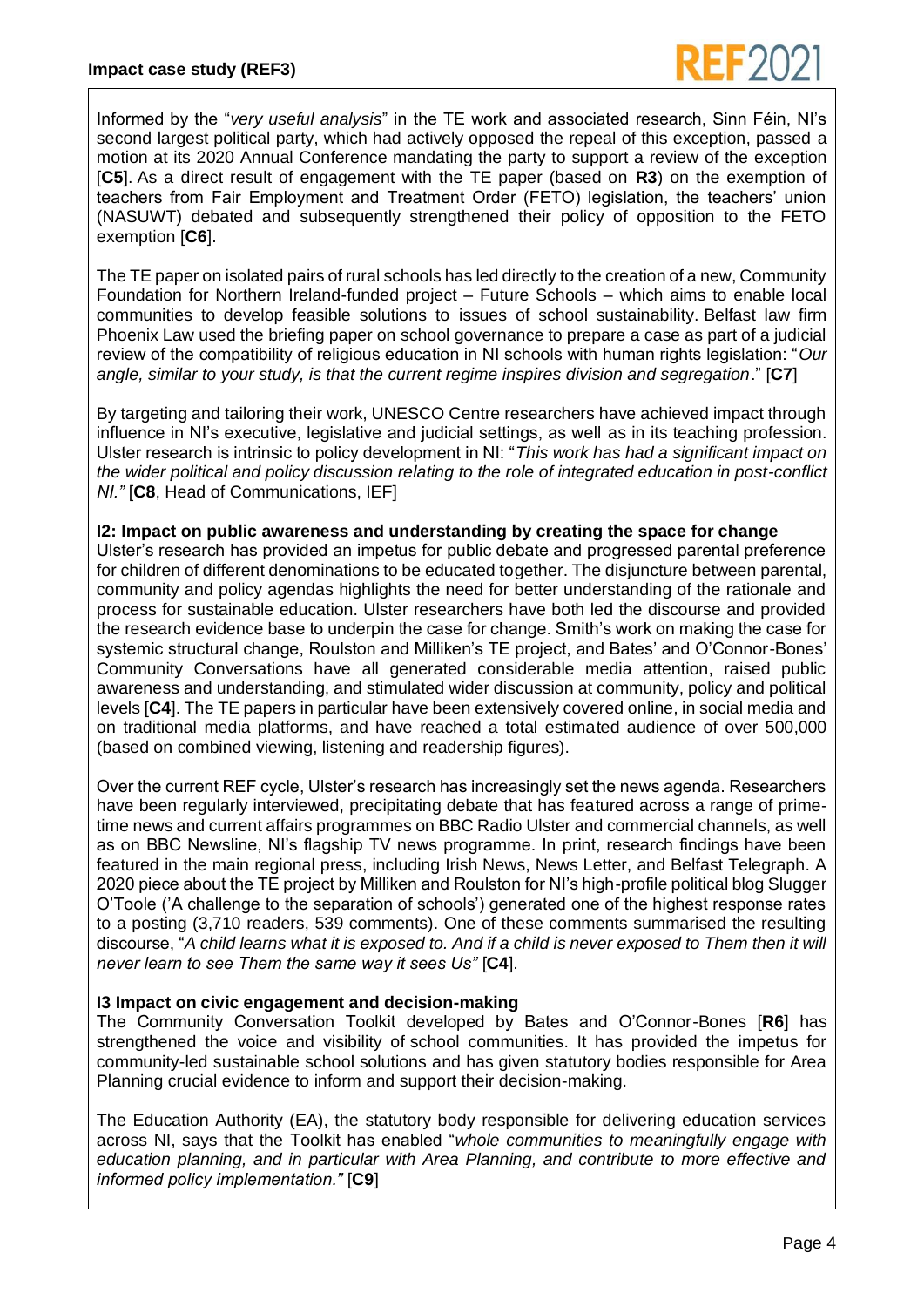Informed by the "*very useful analysis*" in the TE work and associated research, Sinn Féin, NI's second largest political party, which had actively opposed the repeal of this exception, passed a motion at its 2020 Annual Conference mandating the party to support a review of the exception [**C5**]. As a direct result of engagement with the TE paper (based on **R3**) on the exemption of teachers from Fair Employment and Treatment Order (FETO) legislation, the teachers' union (NASUWT) debated and subsequently strengthened their policy of opposition to the FETO exemption [**C6**].

The TE paper on isolated pairs of rural schools has led directly to the creation of a new, Community Foundation for Northern Ireland-funded project – Future Schools – which aims to enable local communities to develop feasible solutions to issues of school sustainability. Belfast law firm Phoenix Law used the briefing paper on school governance to prepare a case as part of a judicial review of the compatibility of religious education in NI schools with human rights legislation: "*Our angle, similar to your study, is that the current regime inspires division and segregation*." [**C7**]

By targeting and tailoring their work, UNESCO Centre researchers have achieved impact through influence in NI's executive, legislative and judicial settings, as well as in its teaching profession. Ulster research is intrinsic to policy development in NI: "*This work has had a significant impact on the wider political and policy discussion relating to the role of integrated education in post-conflict NI."* [**C8**, Head of Communications, IEF]

#### **I2: Impact on public awareness and understanding by creating the space for change**

Ulster's research has provided an impetus for public debate and progressed parental preference for children of different denominations to be educated together. The disjuncture between parental, community and policy agendas highlights the need for better understanding of the rationale and process for sustainable education. Ulster researchers have both led the discourse and provided the research evidence base to underpin the case for change. Smith's work on making the case for systemic structural change, Roulston and Milliken's TE project, and Bates' and O'Connor-Bones' Community Conversations have all generated considerable media attention, raised public awareness and understanding, and stimulated wider discussion at community, policy and political levels [**C4**]. The TE papers in particular have been extensively covered online, in social media and on traditional media platforms, and have reached a total estimated audience of over 500,000 (based on combined viewing, listening and readership figures).

Over the current REF cycle, Ulster's research has increasingly set the news agenda. Researchers have been regularly interviewed, precipitating debate that has featured across a range of primetime news and current affairs programmes on BBC Radio Ulster and commercial channels, as well as on BBC Newsline, NI's flagship TV news programme. In print, research findings have been featured in the main regional press, including Irish News, News Letter, and Belfast Telegraph. A 2020 piece about the TE project by Milliken and Roulston for NI's high-profile political blog Slugger O'Toole ('A challenge to the separation of schools') generated one of the highest response rates to a posting (3,710 readers, 539 comments). One of these comments summarised the resulting discourse, "*A child learns what it is exposed to. And if a child is never exposed to Them then it will never learn to see Them the same way it sees Us"* [**C4**].

# **I3 Impact on civic engagement and decision-making**

The Community Conversation Toolkit developed by Bates and O'Connor-Bones [**R6**] has strengthened the voice and visibility of school communities. It has provided the impetus for community-led sustainable school solutions and has given statutory bodies responsible for Area Planning crucial evidence to inform and support their decision-making.

The Education Authority (EA), the statutory body responsible for delivering education services across NI, says that the Toolkit has enabled "*whole communities to meaningfully engage with education planning, and in particular with Area Planning, and contribute to more effective and informed policy implementation."* [**C9**]